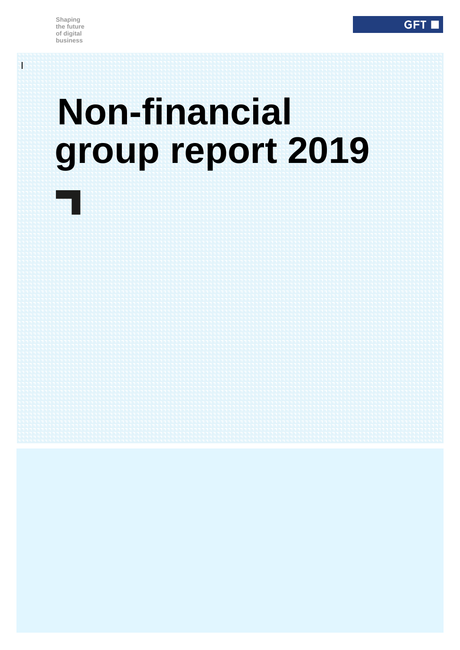l.

 $\overline{\phantom{a}}$ 

# **Non-financial group report 2019**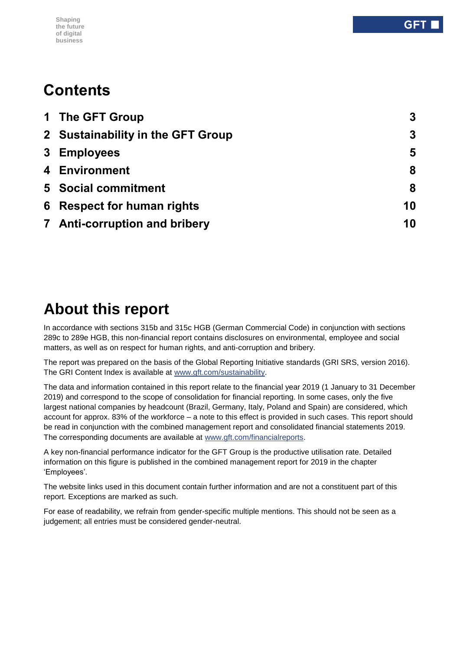#### **Shaping the future of digital business**

## **Contents**

| 1 The GFT Group                   | 3                |
|-----------------------------------|------------------|
| 2 Sustainability in the GFT Group | $\boldsymbol{3}$ |
| 3 Employees                       | 5                |
| 4 Environment                     | 8                |
| <b>5</b> Social commitment        | 8                |
| 6 Respect for human rights        | 10               |
| 7 Anti-corruption and bribery     | 10               |

## **About this report**

In accordance with sections 315b and 315c HGB (German Commercial Code) in conjunction with sections 289c to 289e HGB, this non-financial report contains disclosures on environmental, employee and social matters, as well as on respect for human rights, and anti-corruption and bribery.

The report was prepared on the basis of the Global Reporting Initiative standards (GRI SRS, version 2016). The GRI Content Index is available at [www.gft.com/sustainability.](file:///C:/Users/dakn/AppData/Local/Microsoft/Windows/INetCache/Content.Outlook/7NEC9GE5/www.gft.com/sustainability)

The data and information contained in this report relate to the financial year 2019 (1 January to 31 December 2019) and correspond to the scope of consolidation for financial reporting. In some cases, only the five largest national companies by headcount (Brazil, Germany, Italy, Poland and Spain) are considered, which account for approx. 83% of the workforce – a note to this effect is provided in such cases. This report should be read in conjunction with the combined management report and consolidated financial statements 2019. The corresponding documents are available at [www.gft.com/financialreports.](file:///C:/Users/dakn/AppData/Local/Microsoft/Windows/INetCache/Content.Outlook/7NEC9GE5/www.gft.com/financialreports)

A key non-financial performance indicator for the GFT Group is the productive utilisation rate. Detailed information on this figure is published in the combined management report for 2019 in the chapter 'Employees'.

The website links used in this document contain further information and are not a constituent part of this report. Exceptions are marked as such.

For ease of readability, we refrain from gender-specific multiple mentions. This should not be seen as a judgement; all entries must be considered gender-neutral.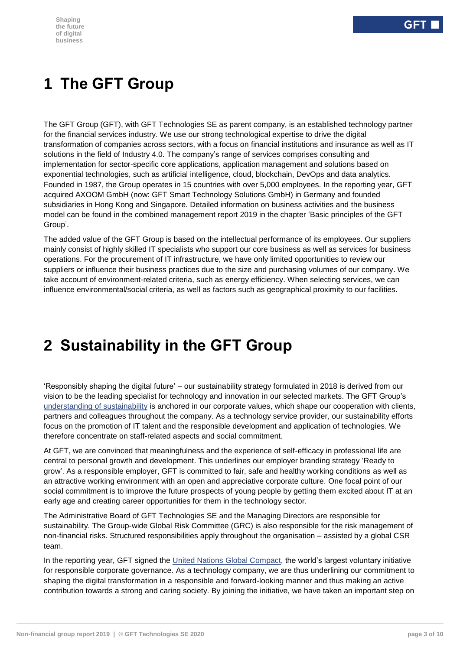## <span id="page-2-0"></span>**1 The GFT Group**

The GFT Group (GFT), with GFT Technologies SE as parent company, is an established technology partner for the financial services industry. We use our strong technological expertise to drive the digital transformation of companies across sectors, with a focus on financial institutions and insurance as well as IT solutions in the field of Industry 4.0. The company's range of services comprises consulting and implementation for sector-specific core applications, application management and solutions based on exponential technologies, such as artificial intelligence, cloud, blockchain, DevOps and data analytics. Founded in 1987, the Group operates in 15 countries with over 5,000 employees. In the reporting year, GFT acquired AXOOM GmbH (now: GFT Smart Technology Solutions GmbH) in Germany and founded subsidiaries in Hong Kong and Singapore. Detailed information on business activities and the business model can be found in the combined management report 2019 in the chapter 'Basic principles of the GFT Group'.

The added value of the GFT Group is based on the intellectual performance of its employees. Our suppliers mainly consist of highly skilled IT specialists who support our core business as well as services for business operations. For the procurement of IT infrastructure, we have only limited opportunities to review our suppliers or influence their business practices due to the size and purchasing volumes of our company. We take account of environment-related criteria, such as energy efficiency. When selecting services, we can influence environmental/social criteria, as well as factors such as geographical proximity to our facilities.

## <span id="page-2-1"></span>**2 Sustainability in the GFT Group**

'Responsibly shaping the digital future' – our sustainability strategy formulated in 2018 is derived from our vision to be the leading specialist for technology and innovation in our selected markets. The GFT Group's [understanding of sustainability](https://www.gft.com/int/en/index/company/investor-relations/sustainability/sustainability-at-gft/) is anchored in our corporate values, which shape our cooperation with clients, partners and colleagues throughout the company. As a technology service provider, our sustainability efforts focus on the promotion of IT talent and the responsible development and application of technologies. We therefore concentrate on staff-related aspects and social commitment.

At GFT, we are convinced that meaningfulness and the experience of self-efficacy in professional life are central to personal growth and development. This underlines our employer branding strategy 'Ready to grow'. As a responsible employer, GFT is committed to fair, safe and healthy working conditions as well as an attractive working environment with an open and appreciative corporate culture. One focal point of our social commitment is to improve the future prospects of young people by getting them excited about IT at an early age and creating career opportunities for them in the technology sector.

The Administrative Board of GFT Technologies SE and the Managing Directors are responsible for sustainability. The Group-wide Global Risk Committee (GRC) is also responsible for the risk management of non-financial risks. Structured responsibilities apply throughout the organisation – assisted by a global CSR team.

In the reporting year, GFT signed the [United Nations Global Compact,](https://www.unglobalcompact.org/) the world's largest voluntary initiative for responsible corporate governance. As a technology company, we are thus underlining our commitment to shaping the digital transformation in a responsible and forward-looking manner and thus making an active contribution towards a strong and caring society. By joining the initiative, we have taken an important step on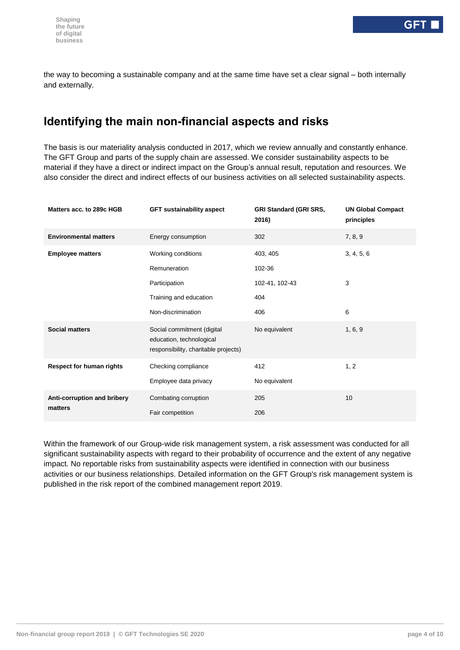the way to becoming a sustainable company and at the same time have set a clear signal – both internally and externally.

#### **Identifying the main non-financial aspects and risks**

The basis is our materiality analysis conducted in 2017, which we review annually and constantly enhance. The GFT Group and parts of the supply chain are assessed. We consider sustainability aspects to be material if they have a direct or indirect impact on the Group's annual result, reputation and resources. We also consider the direct and indirect effects of our business activities on all selected sustainability aspects.

| Matters acc. to 289c HGB        | <b>GFT sustainability aspect</b>                                                               | <b>GRI Standard (GRI SRS,</b><br>2016) | <b>UN Global Compact</b><br>principles |  |
|---------------------------------|------------------------------------------------------------------------------------------------|----------------------------------------|----------------------------------------|--|
| <b>Environmental matters</b>    | Energy consumption                                                                             | 302                                    | 7, 8, 9                                |  |
| <b>Employee matters</b>         | Working conditions                                                                             | 403, 405                               | 3, 4, 5, 6                             |  |
|                                 | Remuneration                                                                                   | 102-36                                 |                                        |  |
|                                 | Participation                                                                                  | 102-41, 102-43                         | 3                                      |  |
|                                 | Training and education                                                                         | 404                                    |                                        |  |
|                                 | Non-discrimination                                                                             | 406                                    | 6                                      |  |
| <b>Social matters</b>           | Social commitment (digital<br>education, technological<br>responsibility, charitable projects) | No equivalent                          | 1, 6, 9                                |  |
| <b>Respect for human rights</b> | Checking compliance                                                                            | 412                                    | 1, 2                                   |  |
|                                 | Employee data privacy                                                                          | No equivalent                          |                                        |  |
| Anti-corruption and bribery     | Combating corruption<br>205                                                                    | 10                                     |                                        |  |
| matters                         | Fair competition                                                                               | 206                                    |                                        |  |

Within the framework of our Group-wide risk management system, a risk assessment was conducted for all significant sustainability aspects with regard to their probability of occurrence and the extent of any negative impact. No reportable risks from sustainability aspects were identified in connection with our business activities or our business relationships. Detailed information on the GFT Group's risk management system is published in the risk report of the combined management report 2019.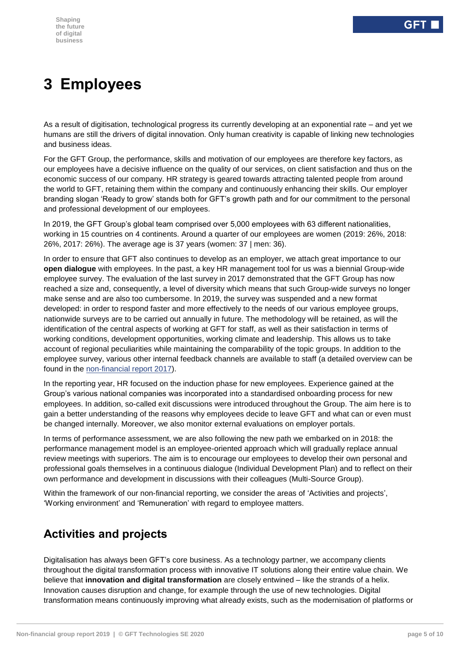## <span id="page-4-0"></span>**3 Employees**

As a result of digitisation, technological progress its currently developing at an exponential rate – and yet we humans are still the drivers of digital innovation. Only human creativity is capable of linking new technologies and business ideas.

For the GFT Group, the performance, skills and motivation of our employees are therefore key factors, as our employees have a decisive influence on the quality of our services, on client satisfaction and thus on the economic success of our company. HR strategy is geared towards attracting talented people from around the world to GFT, retaining them within the company and continuously enhancing their skills. Our employer branding slogan 'Ready to grow' stands both for GFT's growth path and for our commitment to the personal and professional development of our employees.

In 2019, the GFT Group's global team comprised over 5,000 employees with 63 different nationalities, working in 15 countries on 4 continents. Around a quarter of our employees are women (2019: 26%, 2018: 26%, 2017: 26%). The average age is 37 years (women: 37 | men: 36).

In order to ensure that GFT also continues to develop as an employer, we attach great importance to our **open dialogue** with employees. In the past, a key HR management tool for us was a biennial Group-wide employee survey. The evaluation of the last survey in 2017 demonstrated that the GFT Group has now reached a size and, consequently, a level of diversity which means that such Group-wide surveys no longer make sense and are also too cumbersome. In 2019, the survey was suspended and a new format developed: in order to respond faster and more effectively to the needs of our various employee groups, nationwide surveys are to be carried out annually in future. The methodology will be retained, as will the identification of the central aspects of working at GFT for staff, as well as their satisfaction in terms of working conditions, development opportunities, working climate and leadership. This allows us to take account of regional peculiarities while maintaining the comparability of the topic groups. In addition to the employee survey, various other internal feedback channels are available to staff (a detailed overview can be found in the [non-financial report 2017\)](https://www.gft.com/dam/jcr:8d0bf5b3-7b78-4826-b214-592641c553c0/gft-non-financial-report-2017-en.pdf).

In the reporting year, HR focused on the induction phase for new employees. Experience gained at the Group's various national companies was incorporated into a standardised onboarding process for new employees. In addition, so-called exit discussions were introduced throughout the Group. The aim here is to gain a better understanding of the reasons why employees decide to leave GFT and what can or even must be changed internally. Moreover, we also monitor external evaluations on employer portals.

In terms of performance assessment, we are also following the new path we embarked on in 2018: the performance management model is an employee-oriented approach which will gradually replace annual review meetings with superiors. The aim is to encourage our employees to develop their own personal and professional goals themselves in a continuous dialogue (Individual Development Plan) and to reflect on their own performance and development in discussions with their colleagues (Multi-Source Group).

Within the framework of our non-financial reporting, we consider the areas of 'Activities and projects', 'Working environment' and 'Remuneration' with regard to employee matters.

### **Activities and projects**

Digitalisation has always been GFT's core business. As a technology partner, we accompany clients throughout the digital transformation process with innovative IT solutions along their entire value chain. We believe that **innovation and digital transformation** are closely entwined – like the strands of a helix. Innovation causes disruption and change, for example through the use of new technologies. Digital transformation means continuously improving what already exists, such as the modernisation of platforms or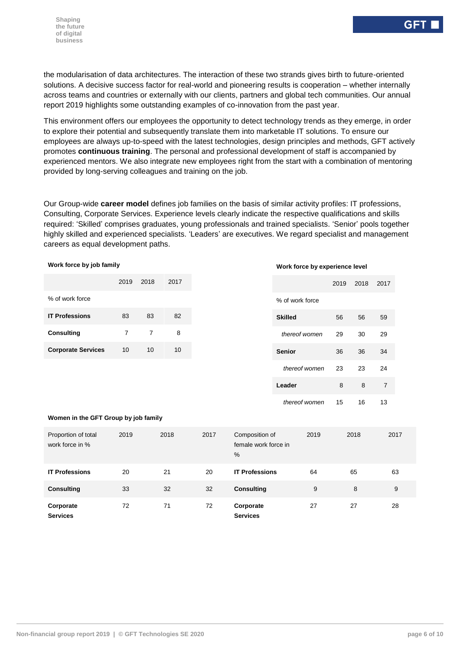the modularisation of data architectures. The interaction of these two strands gives birth to future-oriented solutions. A decisive success factor for real-world and pioneering results is cooperation – whether internally across teams and countries or externally with our clients, partners and global tech communities. Our annual report 2019 highlights some outstanding examples of co-innovation from the past year.

This environment offers our employees the opportunity to detect technology trends as they emerge, in order to explore their potential and subsequently translate them into marketable IT solutions. To ensure our employees are always up-to-speed with the latest technologies, design principles and methods, GFT actively promotes **continuous training**. The personal and professional development of staff is accompanied by experienced mentors. We also integrate new employees right from the start with a combination of mentoring provided by long-serving colleagues and training on the job.

Our Group-wide **career model** defines job families on the basis of similar activity profiles: IT professions, Consulting, Corporate Services. Experience levels clearly indicate the respective qualifications and skills required: 'Skilled' comprises graduates, young professionals and trained specialists. 'Senior' pools together highly skilled and experienced specialists. 'Leaders' are executives. We regard specialist and management careers as equal development paths.

| Work force by job family               |                |                |      | Work force by experience level |                                             |                 |      |      |                |  |
|----------------------------------------|----------------|----------------|------|--------------------------------|---------------------------------------------|-----------------|------|------|----------------|--|
|                                        | 2019           | 2018           | 2017 |                                |                                             |                 | 2019 | 2018 | 2017           |  |
| % of work force                        |                |                |      |                                |                                             | % of work force |      |      |                |  |
| <b>IT Professions</b>                  | 83             | 83             | 82   |                                |                                             | <b>Skilled</b>  | 56   | 56   | 59             |  |
| <b>Consulting</b>                      | $\overline{7}$ | $\overline{7}$ | 8    |                                |                                             | thereof women   | 29   | 30   | 29             |  |
| <b>Corporate Services</b>              | 10             | 10             | 10   |                                |                                             | <b>Senior</b>   | 36   | 36   | 34             |  |
|                                        |                |                |      |                                |                                             | thereof women   | 23   | 23   | 24             |  |
|                                        |                |                |      |                                |                                             | Leader          | 8    | 8    | $\overline{7}$ |  |
|                                        |                |                |      |                                |                                             | thereof women   | 15   | 16   | 13             |  |
| Women in the GFT Group by job family   |                |                |      |                                |                                             |                 |      |      |                |  |
| Proportion of total<br>work force in % | 2019           |                | 2018 | 2017                           | Composition of<br>female work force in<br>% | 2019            |      | 2018 | 2017           |  |
| <b>IT Professions</b>                  | 20             |                | 21   | 20                             | <b>IT Professions</b>                       | 64              |      | 65   | 63             |  |
| <b>Consulting</b>                      | 33             |                | 32   | 32                             | <b>Consulting</b>                           | 9               |      | 8    | 9              |  |

**Services**

72 71 72 **Corporate** 

**Corporate Services**

27 27 28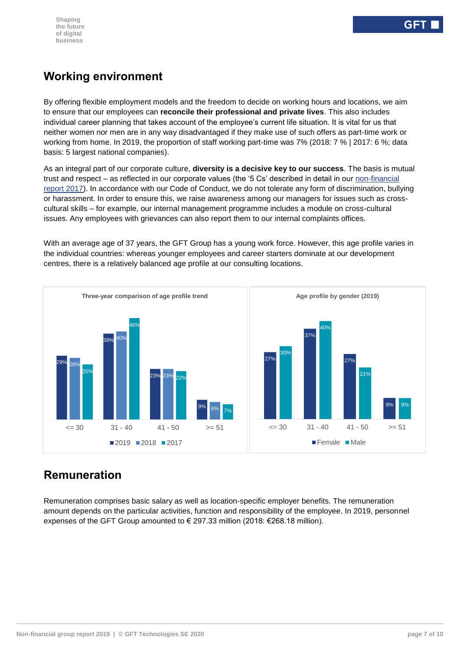#### **Working environment**

By offering flexible employment models and the freedom to decide on working hours and locations, we aim to ensure that our employees can **reconcile their professional and private lives**. This also includes individual career planning that takes account of the employee's current life situation. It is vital for us that neither women nor men are in any way disadvantaged if they make use of such offers as part-time work or working from home. In 2019, the proportion of staff working part-time was 7% (2018: 7 % | 2017: 6 %; data basis: 5 largest national companies).

As an integral part of our corporate culture, **diversity is a decisive key to our success**. The basis is mutual trust and respect – as reflected in our corporate values (the '5 Cs' described in detail in our [non-financial](https://www.gft.com/dam/jcr:8d0bf5b3-7b78-4826-b214-592641c553c0/gft-non-financial-report-2017-en.pdf)  [report 2017\)](https://www.gft.com/dam/jcr:8d0bf5b3-7b78-4826-b214-592641c553c0/gft-non-financial-report-2017-en.pdf). In accordance with our Code of Conduct, we do not tolerate any form of discrimination, bullying or harassment. In order to ensure this, we raise awareness among our managers for issues such as crosscultural skills – for example, our internal management programme includes a module on cross-cultural issues. Any employees with grievances can also report them to our internal complaints offices.

With an average age of 37 years, the GFT Group has a young work force. However, this age profile varies in the individual countries: whereas younger employees and career starters dominate at our development centres, there is a relatively balanced age profile at our consulting locations.



#### **Remuneration**

Remuneration comprises basic salary as well as location-specific employer benefits. The remuneration amount depends on the particular activities, function and responsibility of the employee. In 2019, personnel expenses of the GFT Group amounted to  $\epsilon$  297.33 million (2018:  $\epsilon$ 268.18 million).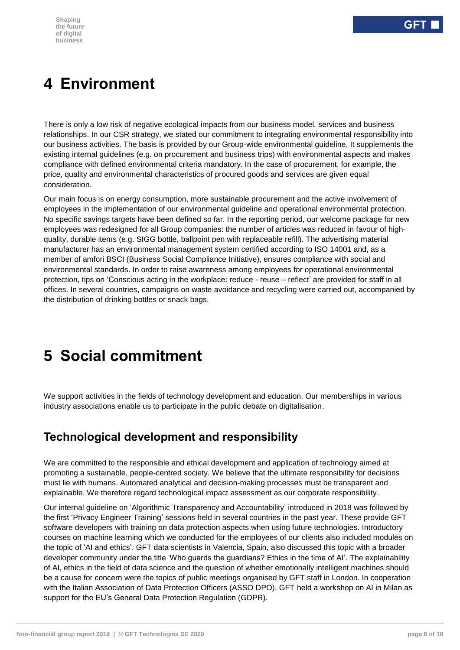## <span id="page-7-0"></span>**4 Environment**

There is only a low risk of negative ecological impacts from our business model, services and business relationships. In our CSR strategy, we stated our commitment to integrating environmental responsibility into our business activities. The basis is provided by our Group-wide environmental guideline. It supplements the existing internal guidelines (e.g. on procurement and business trips) with environmental aspects and makes compliance with defined environmental criteria mandatory. In the case of procurement, for example, the price, quality and environmental characteristics of procured goods and services are given equal consideration.

Our main focus is on energy consumption, more sustainable procurement and the active involvement of employees in the implementation of our environmental guideline and operational environmental protection. No specific savings targets have been defined so far. In the reporting period, our welcome package for new employees was redesigned for all Group companies: the number of articles was reduced in favour of highquality, durable items (e.g. SIGG bottle, ballpoint pen with replaceable refill). The advertising material manufacturer has an environmental management system certified according to ISO 14001 and, as a member of amfori BSCI (Business Social Compliance Initiative), ensures compliance with social and environmental standards. In order to raise awareness among employees for operational environmental protection, tips on 'Conscious acting in the workplace: reduce - reuse – reflect' are provided for staff in all offices. In several countries, campaigns on waste avoidance and recycling were carried out, accompanied by the distribution of drinking bottles or snack bags.

## <span id="page-7-1"></span>**5 Social commitment**

We support activities in the fields of technology development and education. Our memberships in various industry associations enable us to participate in the public debate on digitalisation.

#### **Technological development and responsibility**

We are committed to the responsible and ethical development and application of technology aimed at promoting a sustainable, people-centred society. We believe that the ultimate responsibility for decisions must lie with humans. Automated analytical and decision-making processes must be transparent and explainable. We therefore regard technological impact assessment as our corporate responsibility.

Our internal guideline on 'Algorithmic Transparency and Accountability' introduced in 2018 was followed by the first 'Privacy Engineer Training' sessions held in several countries in the past year. These provide GFT software developers with training on data protection aspects when using future technologies. Introductory courses on machine learning which we conducted for the employees of our clients also included modules on the topic of 'AI and ethics'. GFT data scientists in Valencia, Spain, also discussed this topic with a broader developer community under the title 'Who guards the guardians? Ethics in the time of AI'. The explainability of AI, ethics in the field of data science and the question of whether emotionally intelligent machines should be a cause for concern were the topics of public meetings organised by GFT staff in London. In cooperation with the Italian Association of Data Protection Officers (ASSO DPO), GFT held a workshop on AI in Milan as support for the EU's General Data Protection Regulation (GDPR).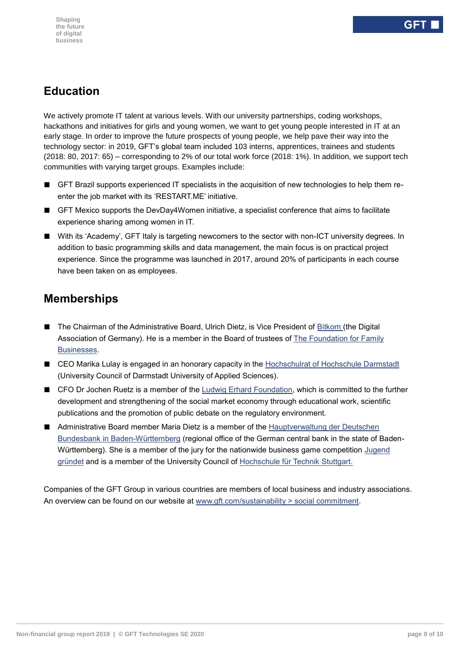#### **Education**

We actively promote IT talent at various levels. With our university partnerships, coding workshops, hackathons and initiatives for girls and young women, we want to get young people interested in IT at an early stage. In order to improve the future prospects of young people, we help pave their way into the technology sector: in 2019, GFT's global team included 103 interns, apprentices, trainees and students (2018: 80, 2017: 65) – corresponding to 2% of our total work force (2018: 1%). In addition, we support tech communities with varying target groups. Examples include:

- GFT Brazil supports experienced IT specialists in the acquisition of new technologies to help them reenter the job market with its 'RESTART.ME' initiative.
- GFT Mexico supports the DevDay4Women initiative, a specialist conference that aims to facilitate experience sharing among women in IT.
- With its 'Academy', GFT Italy is targeting newcomers to the sector with non-ICT university degrees. In addition to basic programming skills and data management, the main focus is on practical project experience. Since the programme was launched in 2017, around 20% of participants in each course have been taken on as employees.

#### **Memberships**

- The Chairman of the Administrative Board, Ulrich Dietz, is Vice President of [Bitkom](https://www.bitkom.org/) (the Digital Association of Germany). He is a member in the Board of trustees of [The Foundation for Family](https://www.familienunternehmen.de/likecms.php?function=set_lang&lang=en)  [Businesses.](https://www.familienunternehmen.de/likecms.php?function=set_lang&lang=en)
- CEO Marika Lulay is engaged in an honorary capacity in the [Hochschulrat of Hochschule Darmstadt](https://www.h-da.de/hochschule/organisation/hochschulrat/) (University Council of Darmstadt University of Applied Sciences).
- CFO Dr Jochen Ruetz is a member of the [Ludwig Erhard Foundation,](https://www.ludwig-erhard.de/) which is committed to the further development and strengthening of the social market economy through educational work, scientific publications and the promotion of public debate on the regulatory environment.
- Administrative Board member Maria Dietz is a member of the Hauptverwaltung der Deutschen [Bundesbank in Baden-Württemberg](https://www.bundesbank.de/de/bundesbank/hauptverwaltungen-filialen/bw/beirat) (regional office of the German central bank in the state of Baden-Württemberg). She is a member of the jury for the nationwide business game competition Jugend [gründet](https://www.jugend-gruendet.de/wettbewerb/jury/) and is a member of the University Council of [Hochschule für Technik Stuttgart.](https://www.hft-stuttgart.de/Hochschule/Organisation/Gremien/Hochschulrat/index.html/de)

Companies of the GFT Group in various countries are members of local business and industry associations. An overview can be found on our website at [www.gft.com/sustainability > social commitment.](https://www.gft.com/dam/jcr:3da6fd59-dcc2-4388-b89c-d250e3899871/gft-sustainability-memberships-en.pdf)